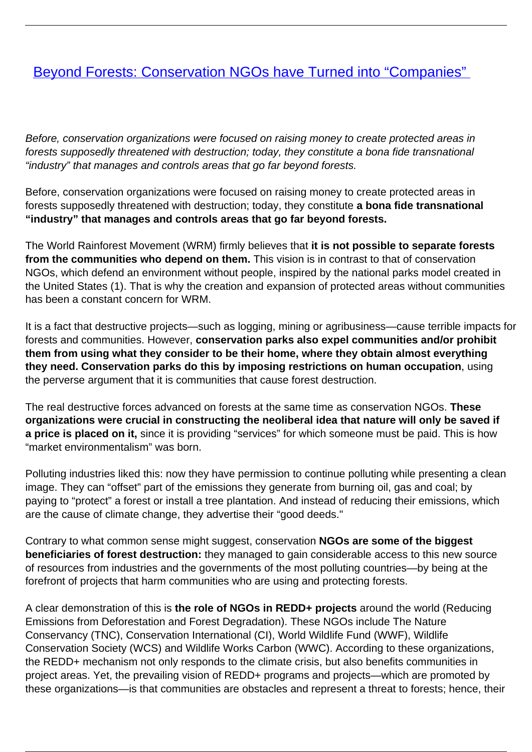## **[Beyond Forests: Conservation NGOs have Turned into "Companies"](/bulletin-articles/beyond-forests-conservation-ngos-have-turned-into-companies)**

Before, conservation organizations were focused on raising money to create protected areas in forests supposedly threatened with destruction; today, they constitute a bona fide transnational "industry" that manages and controls areas that go far beyond forests.

Before, conservation organizations were focused on raising money to create protected areas in forests supposedly threatened with destruction; today, they constitute **a bona fide transnational "industry" that manages and controls areas that go far beyond forests.** 

The World Rainforest Movement (WRM) firmly believes that **it is not possible to separate forests from the communities who depend on them.** This vision is in contrast to that of conservation NGOs, which defend an environment without people, inspired by the national parks model created in the United States (1). That is why the creation and expansion of protected areas without communities has been a constant concern for WRM.

It is a fact that destructive projects—such as logging, mining or agribusiness—cause terrible impacts for forests and communities. However, **conservation parks also expel communities and/or prohibit them from using what they consider to be their home, where they obtain almost everything they need. Conservation parks do this by imposing restrictions on human occupation**, using the perverse argument that it is communities that cause forest destruction.

The real destructive forces advanced on forests at the same time as conservation NGOs. **These organizations were crucial in constructing the neoliberal idea that nature will only be saved if a price is placed on it,** since it is providing "services" for which someone must be paid. This is how "market environmentalism" was born.

Polluting industries liked this: now they have permission to continue polluting while presenting a clean image. They can "offset" part of the emissions they generate from burning oil, gas and coal; by paying to "protect" a forest or install a tree plantation. And instead of reducing their emissions, which are the cause of climate change, they advertise their "good deeds."

Contrary to what common sense might suggest, conservation **NGOs are some of the biggest beneficiaries of forest destruction:** they managed to gain considerable access to this new source of resources from industries and the governments of the most polluting countries—by being at the forefront of projects that harm communities who are using and protecting forests.

A clear demonstration of this is **the role of NGOs in REDD+ projects** around the world (Reducing Emissions from Deforestation and Forest Degradation). These NGOs include The Nature Conservancy (TNC), Conservation International (CI), World Wildlife Fund (WWF), Wildlife Conservation Society (WCS) and Wildlife Works Carbon (WWC). According to these organizations, the REDD+ mechanism not only responds to the climate crisis, but also benefits communities in project areas. Yet, the prevailing vision of REDD+ programs and projects—which are promoted by these organizations—is that communities are obstacles and represent a threat to forests; hence, their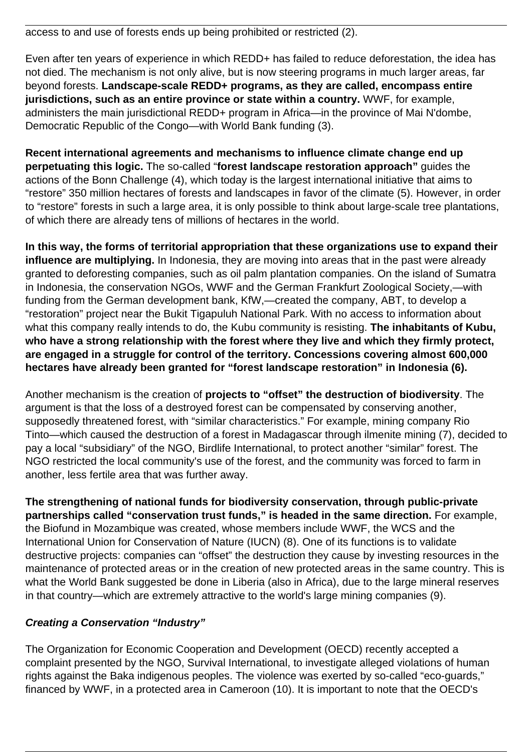access to and use of forests ends up being prohibited or restricted (2).

Even after ten years of experience in which REDD+ has failed to reduce deforestation, the idea has not died. The mechanism is not only alive, but is now steering programs in much larger areas, far beyond forests. **Landscape-scale REDD+ programs, as they are called, encompass entire jurisdictions, such as an entire province or state within a country.** WWF, for example, administers the main jurisdictional REDD+ program in Africa—in the province of Mai N'dombe, Democratic Republic of the Congo—with World Bank funding (3).

**Recent international agreements and mechanisms to influence climate change end up perpetuating this logic.** The so-called "**forest landscape restoration approach"** guides the actions of the Bonn Challenge (4), which today is the largest international initiative that aims to "restore" 350 million hectares of forests and landscapes in favor of the climate (5). However, in order to "restore" forests in such a large area, it is only possible to think about large-scale tree plantations, of which there are already tens of millions of hectares in the world.

**In this way, the forms of territorial appropriation that these organizations use to expand their influence are multiplying.** In Indonesia, they are moving into areas that in the past were already granted to deforesting companies, such as oil palm plantation companies. On the island of Sumatra in Indonesia, the conservation NGOs, WWF and the German Frankfurt Zoological Society,—with funding from the German development bank, KfW,—created the company, ABT, to develop a "restoration" project near the Bukit Tigapuluh National Park. With no access to information about what this company really intends to do, the Kubu community is resisting. **The inhabitants of Kubu, who have a strong relationship with the forest where they live and which they firmly protect, are engaged in a struggle for control of the territory. Concessions covering almost 600,000 hectares have already been granted for "forest landscape restoration" in Indonesia (6).**

Another mechanism is the creation of **projects to "offset" the destruction of biodiversity**. The argument is that the loss of a destroyed forest can be compensated by conserving another, supposedly threatened forest, with "similar characteristics." For example, mining company Rio Tinto—which caused the destruction of a forest in Madagascar through ilmenite mining (7), decided to pay a local "subsidiary" of the NGO, Birdlife International, to protect another "similar" forest. The NGO restricted the local community's use of the forest, and the community was forced to farm in another, less fertile area that was further away.

**The strengthening of national funds for biodiversity conservation, through public-private partnerships called "conservation trust funds," is headed in the same direction.** For example, the Biofund in Mozambique was created, whose members include WWF, the WCS and the International Union for Conservation of Nature (IUCN) (8). One of its functions is to validate destructive projects: companies can "offset" the destruction they cause by investing resources in the maintenance of protected areas or in the creation of new protected areas in the same country. This is what the World Bank suggested be done in Liberia (also in Africa), due to the large mineral reserves in that country—which are extremely attractive to the world's large mining companies (9).

## **Creating a Conservation "Industry"**

The Organization for Economic Cooperation and Development (OECD) recently accepted a complaint presented by the NGO, Survival International, to investigate alleged violations of human rights against the Baka indigenous peoples. The violence was exerted by so-called "eco-guards," financed by WWF, in a protected area in Cameroon (10). It is important to note that the OECD's